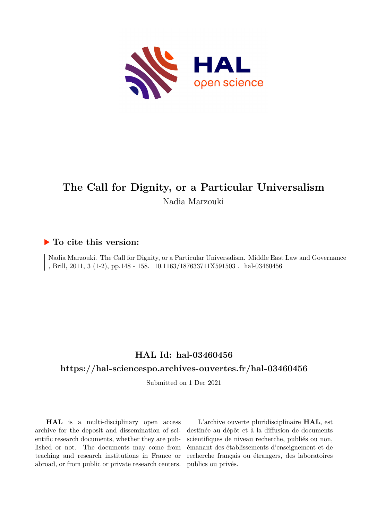

# **The Call for Dignity, or a Particular Universalism** Nadia Marzouki

## **To cite this version:**

Nadia Marzouki. The Call for Dignity, or a Particular Universalism. Middle East Law and Governance , Brill, 2011, 3 (1-2), pp.148 - 158.  $10.1163/187633711X591503$ . hal-03460456

# **HAL Id: hal-03460456 <https://hal-sciencespo.archives-ouvertes.fr/hal-03460456>**

Submitted on 1 Dec 2021

**HAL** is a multi-disciplinary open access archive for the deposit and dissemination of scientific research documents, whether they are published or not. The documents may come from teaching and research institutions in France or abroad, or from public or private research centers.

L'archive ouverte pluridisciplinaire **HAL**, est destinée au dépôt et à la diffusion de documents scientifiques de niveau recherche, publiés ou non, émanant des établissements d'enseignement et de recherche français ou étrangers, des laboratoires publics ou privés.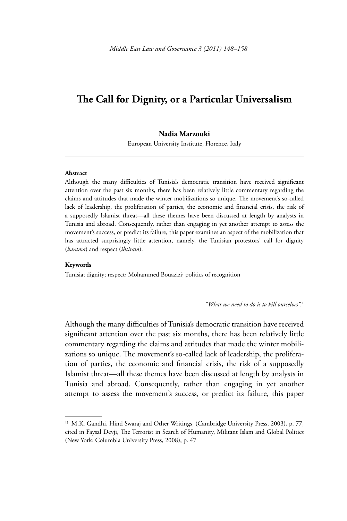## **The Call for Dignity, or a Particular Universalism**

#### **Nadia Marzouki**

European University Institute, Florence, Italy

#### **Abstract**

Although the many difficulties of Tunisia's democratic transition have received significant attention over the past six months, there has been relatively little commentary regarding the claims and attitudes that made the winter mobilizations so unique. The movement's so-called lack of leadership, the proliferation of parties, the economic and financial crisis, the risk of a supposedly Islamist threat—all these themes have been discussed at length by analysts in Tunisia and abroad. Consequently, rather than engaging in yet another attempt to assess the movement's success, or predict its failure, this paper examines an aspect of the mobilization that has attracted surprisingly little attention, namely, the Tunisian protestors' call for dignity (*karama*) and respect (*ihtiram*).

#### **Keywords**

Tunisia; dignity; respect; Mohammed Bouazizi; politics of recognition

*"What we need to do is to kill ourselves".*<sup>1</sup>

Although the many difficulties of Tunisia's democratic transition have received significant attention over the past six months, there has been relatively little commentary regarding the claims and attitudes that made the winter mobilizations so unique. The movement's so-called lack of leadership, the proliferation of parties, the economic and financial crisis, the risk of a supposedly Islamist threat—all these themes have been discussed at length by analysts in Tunisia and abroad. Consequently, rather than engaging in yet another attempt to assess the movement's success, or predict its failure, this paper

<sup>&</sup>lt;sup>1)</sup> M.K. Gandhi, Hind Swaraj and Other Writings, (Cambridge University Press, 2003), p. 77, cited in Faysal Devji, The Terrorist in Search of Humanity, Militant Islam and Global Politics (New York: Columbia University Press, 2008), p. 47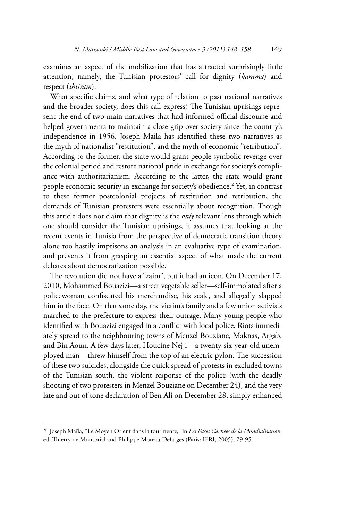examines an aspect of the mobilization that has attracted surprisingly little attention, namely, the Tunisian protestors' call for dignity (karama) and respect (*ihtiram*).

What specific claims, and what type of relation to past national narratives and the broader society, does this call express? The Tunisian uprisings represent the end of two main narratives that had informed official discourse and helped governments to maintain a close grip over society since the country's independence in 1956. Joseph Maila has identified these two narratives as the myth of nationalist "restitution", and the myth of economic "retribution". According to the former, the state would grant people symbolic revenge over the colonial period and restore national pride in exchange for society's compliance with authoritarianism. According to the latter, the state would grant people economic security in exchange for society's obedience. 2 Yet, in contrast to these former postcolonial projects of restitution and retribution, the demands of Tunisian protesters were essentially about recognition. Though this article does not claim that dignity is the *only* relevant lens through which one should consider the Tunisian uprisings, it assumes that looking at the recent events in Tunisia from the perspective of democratic transition theory alone too hastily imprisons an analysis in an evaluative type of examination, and prevents it from grasping an essential aspect of what made the current debates about democratization possible.

The revolution did not have a "zaim", but it had an icon. On December 17, 2010, Mohammed Bouazizi—a street vegetable seller—self-immolated after a policewoman confiscated his merchandise, his scale, and allegedly slapped him in the face. On that same day, the victim's family and a few union activists marched to the prefecture to express their outrage. Many young people who identified with Bouazizi engaged in a conflict with local police. Riots immediately spread to the neighbouring towns of Menzel Bouziane, Maknas, Argab, and Bin Aoun. A few days later, Houcine Nejji—a twenty-six-year-old unemployed man—threw himself from the top of an electric pylon. The succession of these two suicides, alongside the quick spread of protests in excluded towns of the Tunisian south, the violent response of the police (with the deadly shooting of two protesters in Menzel Bouziane on December 24), and the very late and out of tone declaration of Ben Ali on December 28, simply enhanced

<sup>&</sup>lt;sup>2)</sup> Joseph Maïla, "Le Moyen Orient dans la tourmente," in Les Faces Cachées de la Mondialisation,

ed. Thierry de Montbrial and Philippe Moreau Defarges (Paris: IFRI, 2005), 79-95.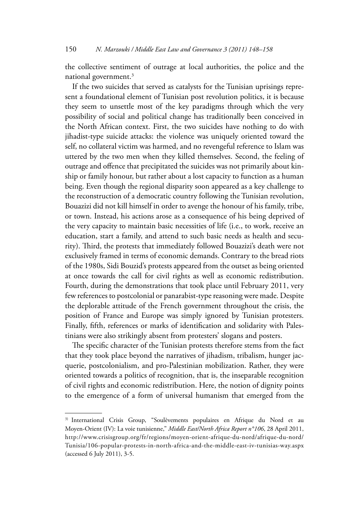the collective sentiment of outrage at local authorities, the police and the national government.<sup>3</sup>

 If the two suicides that served as catalysts for the Tunisian uprisings represent a foundational element of Tunisian post revolution politics, it is because they seem to unsettle most of the key paradigms through which the very possibility of social and political change has traditionally been conceived in the North African context. First, the two suicides have nothing to do with jihadist-type suicide attacks: the violence was uniquely oriented toward the self, no collateral victim was harmed, and no revengeful reference to Islam was uttered by the two men when they killed themselves. Second, the feeling of outrage and offence that precipitated the suicides was not primarily about kinship or family honour, but rather about a lost capacity to function as a human being. Even though the regional disparity soon appeared as a key challenge to the reconstruction of a democratic country following the Tunisian revolution, Bouazizi did not kill himself in order to avenge the honour of his family, tribe, or town. Instead, his actions arose as a consequence of his being deprived of the very capacity to maintain basic necessities of life (i.e., to work, receive an education, start a family, and attend to such basic needs as health and security). Third, the protests that immediately followed Bouazizi's death were not exclusively framed in terms of economic demands. Contrary to the bread riots of the 1980s, Sidi Bouzid's protests appeared from the outset as being oriented at once towards the call for civil rights as well as economic redistribution. Fourth, during the demonstrations that took place until February 2011, very few references to postcolonial or panarabist-type reasoning were made. Despite the deplorable attitude of the French government throughout the crisis, the position of France and Europe was simply ignored by Tunisian protesters. Finally, fifth, references or marks of identification and solidarity with Palestinians were also strikingly absent from protesters' slogans and posters.

The specific character of the Tunisian protests therefore stems from the fact that they took place beyond the narratives of jihadism, tribalism, hunger jacquerie, postcolonialism, and pro-Palestinian mobilization. Rather, they were oriented towards a politics of recognition, that is, the inseparable recognition of civil rights and economic redistribution. Here, the notion of dignity points to the emergence of a form of universal humanism that emerged from the

<sup>3)</sup> International Crisis Group, "Soulèvements populaires en Afrique du Nord et au Moyen-Orient (IV): La voie tunisienne," *Middle East/North Africa Report n°106* , 28 April 2011, http://www.crisisgroup.org/fr/regions/moyen-orient-afrique-du-nord/afrique-du-nord/ Tunisia/106-popular-protests-in-north-africa-and-the-middle-east-iv-tunisias-way.aspx (accessed 6 July 2011), 3-5.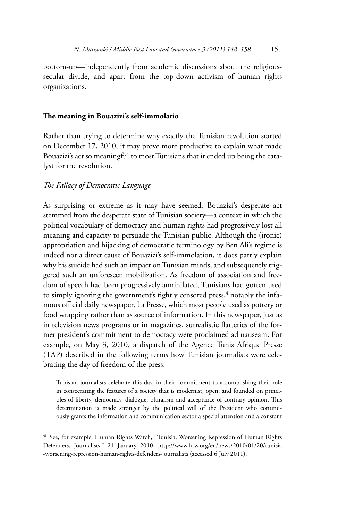bottom-up—independently from academic discussions about the religioussecular divide, and apart from the top-down activism of human rights organizations.

#### The meaning in Bouazizi's self-immolatio

 Rather than trying to determine why exactly the Tunisian revolution started on December 17, 2010, it may prove more productive to explain what made Bouazizi's act so meaningful to most Tunisians that it ended up being the catalyst for the revolution.

#### *The Fallacy of Democratic Language*

 As surprising or extreme as it may have seemed, Bouazizi's desperate act stemmed from the desperate state of Tunisian society—a context in which the political vocabulary of democracy and human rights had progressively lost all meaning and capacity to persuade the Tunisian public. Although the (ironic) appropriation and hijacking of democratic terminology by Ben Ali's regime is indeed not a direct cause of Bouazizi's self-immolation, it does partly explain why his suicide had such an impact on Tunisian minds, and subsequently triggered such an unforeseen mobilization. As freedom of association and freedom of speech had been progressively annihilated, Tunisians had gotten used to simply ignoring the government's tightly censored press,<sup>4</sup> notably the infamous official daily newspaper, La Presse, which most people used as pottery or food wrapping rather than as source of information. In this newspaper, just as in television news programs or in magazines, surrealistic flatteries of the former president's commitment to democracy were proclaimed ad nauseam. For example, on May 3, 2010, a dispatch of the Agence Tunis Afrique Presse (TAP) described in the following terms how Tunisian journalists were celebrating the day of freedom of the press:

 Tunisian journalists celebrate this day, in their commitment to accomplishing their role in consecrating the features of a society that is modernist, open, and founded on principles of liberty, democracy, dialogue, pluralism and acceptance of contrary opinion. This determination is made stronger by the political will of the President who continuously grants the information and communication sector a special attention and a constant

<sup>&</sup>lt;sup>4)</sup> See, for example, Human Rights Watch, "Tunisia, Worsening Repression of Human Rights Defenders, Journalists," 21 January 2010, http://www.hrw.org/en/news/2010/01/20/tunisia -worsening-repression-human-rights-defenders-journalists(accessed 6 July 2011).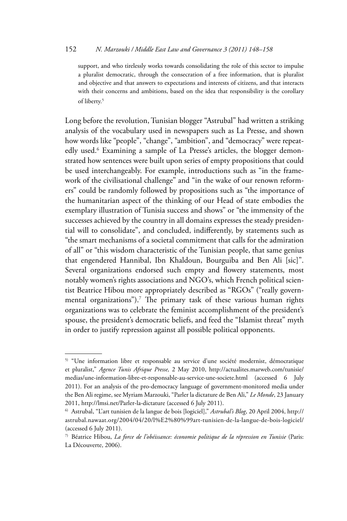#### 152 *N. Marzouki / Middle East Law and Governance 3 (2011) 148–158*

support, and who tirelessly works towards consolidating the role of this sector to impulse a pluralist democratic, through the consecration of a free information, that is pluralist and objective and that answers to expectations and interests of citizens, and that interacts with their concerns and ambitions, based on the idea that responsibility is the corollary of liberty.<sup>5</sup>

 Long before the revolution, Tunisian blogger "Astrubal" had written a striking analysis of the vocabulary used in newspapers such as La Presse, and shown how words like "people", "change", "ambition", and "democracy" were repeatedly used.<sup>6</sup> Examining a sample of La Presse's articles, the blogger demonstrated how sentences were built upon series of empty propositions that could be used interchangeably. For example, introductions such as "in the framework of the civilisational challenge" and "in the wake of our renown reformers" could be randomly followed by propositions such as "the importance of the humanitarian aspect of the thinking of our Head of state embodies the exemplary illustration of Tunisia success and shows" or "the immensity of the successes achieved by the country in all domains expresses the steady presidential will to consolidate", and concluded, indifferently, by statements such as "the smart mechanisms of a societal commitment that calls for the admiration of all" or "this wisdom characteristic of the Tunisian people, that same genius that engendered Hannibal, Ibn Khaldoun, Bourguiba and Ben Ali [sic]". Several organizations endorsed such empty and flowery statements, most notably women's rights associations and NGO's, which French political scientist Beatrice Hibou more appropriately described as "RGOs" ("really governmental organizations").<sup>7</sup> The primary task of these various human rights organizations was to celebrate the feminist accomplishment of the president's spouse, the president's democratic beliefs, and feed the "Islamist threat" myth in order to justify repression against all possible political opponents.

<sup>5) &</sup>quot;Une information libre et responsable au service d'une société modernist, démocratique et pluralist," *Agence Tunis Afrique Presse,* 2 May 2010, http://actualites.marweb.com/tunisie/ medias/une-information-libre-et-responsable-au-service-une-societe.html (accessed 6 July 2011). For an analysis of the pro-democracy language of government-monitored media under the Ben Ali regime, see Myriam Marzouki, "Parler la dictature de Ben Ali," *Le Monde* , 23 January 2011, http://lmsi.net/Parler-la-dictature (accessed 6 July 2011). 6) Astrubal, "L'art tunisien de la langue de bois [logiciel]," *Astrubal's Blog* , 20 April 2004, http://

astrubal.nawaat.org/2004/04/20/l%E2%80%99art-tunisien-de-la-langue-de-bois-logiciel/ (accessed 6 July 2011).

<sup>7)</sup> Béatrice Hibou, *La force de l'obéissance: économie politique de la répression en Tunisie* (Paris: La Découverte, 2006).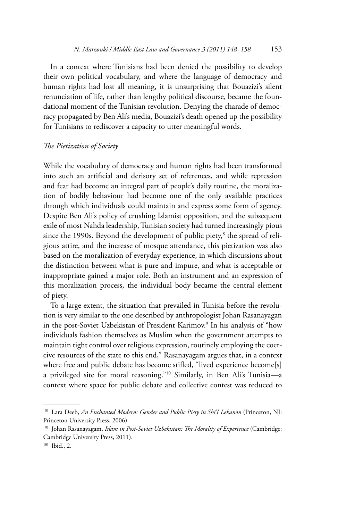In a context where Tunisians had been denied the possibility to develop their own political vocabulary, and where the language of democracy and human rights had lost all meaning, it is unsurprising that Bouazizi's silent renunciation of life, rather than lengthy political discourse, became the foundational moment of the Tunisian revolution. Denying the charade of democracy propagated by Ben Ali's media, Bouazizi's death opened up the possibility for Tunisians to rediscover a capacity to utter meaningful words.

#### **The Pietization of Society**

 While the vocabulary of democracy and human rights had been transformed into such an artificial and derisory set of references, and while repression and fear had become an integral part of people's daily routine, the moralization of bodily behaviour had become one of the only available practices through which individuals could maintain and express some form of agency. Despite Ben Ali's policy of crushing Islamist opposition, and the subsequent exile of most Nahda leadership, Tunisian society had turned increasingly pious since the 1990s. Beyond the development of public piety,<sup>8</sup> the spread of religious attire, and the increase of mosque attendance, this pietization was also based on the moralization of everyday experience, in which discussions about the distinction between what is pure and impure, and what is acceptable or inappropriate gained a major role. Both an instrument and an expression of this moralization process, the individual body became the central element of piety.

 To a large extent, the situation that prevailed in Tunisia before the revolution is very similar to the one described by anthropologist Johan Rasanayagan in the post-Soviet Uzbekistan of President Karimov. 9 In his analysis of "how individuals fashion themselves as Muslim when the government attempts to maintain tight control over religious expression, routinely employing the coercive resources of the state to this end," Rasanayagam argues that, in a context where free and public debate has become stifled, "lived experience become[s] a privileged site for moral reasoning."<sup>10</sup> Similarly, in Ben Ali's Tunisia-a context where space for public debate and collective contest was reduced to

<sup>8)</sup> Lara Deeb, *An Enchanted Modern: Gender and Public Piety in Shi'I Lebanon* (Princeton, NJ: Princeton University Press, 2006).

<sup>&</sup>lt;sup>9)</sup> Johan Rasanayagam, *Islam in Post-Soviet Uzbekistan: The Morality of Experience* (Cambridge: Cambridge University Press, 2011).

<sup>10)</sup> Ibid., 2.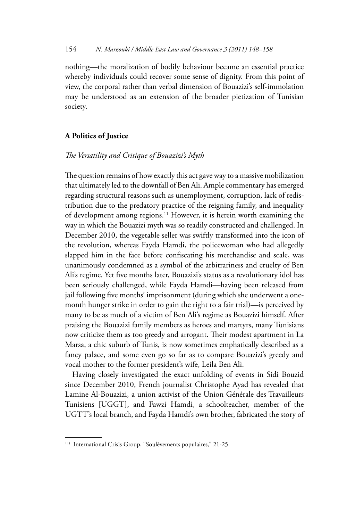nothing—the moralization of bodily behaviour became an essential practice whereby individuals could recover some sense of dignity. From this point of view, the corporal rather than verbal dimension of Bouazizi's self-immolation may be understood as an extension of the broader pietization of Tunisian society.

### **A Politics of Justice**

#### *Th e Versatility and Critique of Bouazizi's Myth*

The question remains of how exactly this act gave way to a massive mobilization that ultimately led to the downfall of Ben Ali. Ample commentary has emerged regarding structural reasons such as unemployment, corruption, lack of redistribution due to the predatory practice of the reigning family, and inequality of development among regions. 11 However, it is herein worth examining the way in which the Bouazizi myth was so readily constructed and challenged. In December 2010, the vegetable seller was swiftly transformed into the icon of the revolution, whereas Fayda Hamdi, the policewoman who had allegedly slapped him in the face before confiscating his merchandise and scale, was unanimously condemned as a symbol of the arbitrariness and cruelty of Ben Ali's regime. Yet five months later, Bouazizi's status as a revolutionary idol has been seriously challenged, while Fayda Hamdi—having been released from jail following five months' imprisonment (during which she underwent a onemonth hunger strike in order to gain the right to a fair trial)—is perceived by many to be as much of a victim of Ben Ali's regime as Bouazizi himself. After praising the Bouazizi family members as heroes and martyrs, many Tunisians now criticize them as too greedy and arrogant. Their modest apartment in La Marsa, a chic suburb of Tunis, is now sometimes emphatically described as a fancy palace, and some even go so far as to compare Bouazizi's greedy and vocal mother to the former president's wife, Leila Ben Ali.

 Having closely investigated the exact unfolding of events in Sidi Bouzid since December 2010, French journalist Christophe Ayad has revealed that Lamine Al-Bouazizi, a union activist of the Union Générale des Travailleurs Tunisiens [UGGT], and Fawzi Hamdi, a schoolteacher, member of the UGTT's local branch, and Fayda Hamdi's own brother, fabricated the story of

<sup>11)</sup> International Crisis Group, "Soulèvements populaires," 21-25.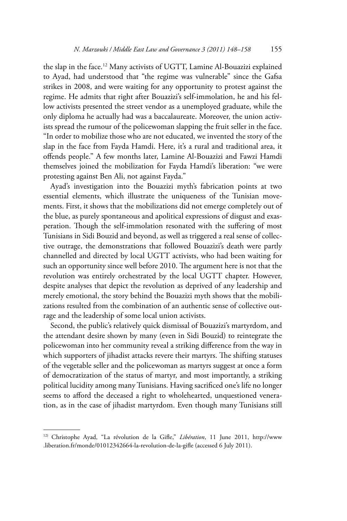the slap in the face. 12 Many activists of UGTT, Lamine Al-Bouazizi explained to Ayad, had understood that "the regime was vulnerable" since the Gafsa strikes in 2008, and were waiting for any opportunity to protest against the regime. He admits that right after Bouazizi's self-immolation, he and his fellow activists presented the street vendor as a unemployed graduate, while the only diploma he actually had was a baccalaureate. Moreover, the union activists spread the rumour of the policewoman slapping the fruit seller in the face. "In order to mobilize those who are not educated, we invented the story of the slap in the face from Fayda Hamdi. Here, it's a rural and traditional area, it offends people." A few months later, Lamine Al-Bouazizi and Fawzi Hamdi themselves joined the mobilization for Fayda Hamdi's liberation: "we were protesting against Ben Ali, not against Fayda."

 Ayad's investigation into the Bouazizi myth's fabrication points at two essential elements, which illustrate the uniqueness of the Tunisian movements. First, it shows that the mobilizations did not emerge completely out of the blue, as purely spontaneous and apolitical expressions of disgust and exasperation. Though the self-immolation resonated with the suffering of most Tunisians in Sidi Bouzid and beyond, as well as triggered a real sense of collective outrage, the demonstrations that followed Bouazizi's death were partly channelled and directed by local UGTT activists, who had been waiting for such an opportunity since well before 2010. The argument here is not that the revolution was entirely orchestrated by the local UGTT chapter. However, despite analyses that depict the revolution as deprived of any leadership and merely emotional, the story behind the Bouazizi myth shows that the mobilizations resulted from the combination of an authentic sense of collective outrage and the leadership of some local union activists.

 Second, the public's relatively quick dismissal of Bouazizi's martyrdom, and the attendant desire shown by many (even in Sidi Bouzid) to reintegrate the policewoman into her community reveal a striking difference from the way in which supporters of jihadist attacks revere their martyrs. The shifting statuses of the vegetable seller and the policewoman as martyrs suggest at once a form of democratization of the status of martyr, and most importantly, a striking political lucidity among many Tunisians. Having sacrificed one's life no longer seems to afford the deceased a right to wholehearted, unquestioned veneration, as in the case of jihadist martyrdom. Even though many Tunisians still

<sup>&</sup>lt;sup>12)</sup> Christophe Ayad, "La révolution de la Gifle," *Libération*, 11 June 2011, http://www .liberation.fr/monde/01012342664-la-revolution-de-la-gifle (accessed 6 July 2011).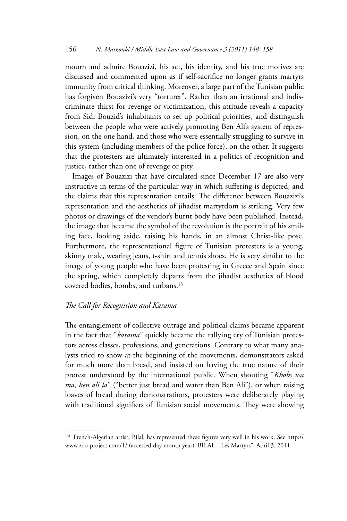mourn and admire Bouazizi, his act, his identity, and his true motives are discussed and commented upon as if self-sacrifice no longer grants martyrs immunity from critical thinking. Moreover, a large part of the Tunisian public has forgiven Bouazizi's very "torturer". Rather than an irrational and indiscriminate thirst for revenge or victimization, this attitude reveals a capacity from Sidi Bouzid's inhabitants to set up political priorities, and distinguish between the people who were actively promoting Ben Ali's system of repression, on the one hand, and those who were essentially struggling to survive in this system (including members of the police force), on the other. It suggests that the protesters are ultimately interested in a politics of recognition and justice, rather than one of revenge or pity.

 Images of Bouazizi that have circulated since December 17 are also very instructive in terms of the particular way in which suffering is depicted, and the claims that this representation entails. The difference between Bouazizi's representation and the aesthetics of jihadist martyrdom is striking. Very few photos or drawings of the vendor's burnt body have been published. Instead, the image that became the symbol of the revolution is the portrait of his smiling face, looking aside, raising his hands, in an almost Christ-like pose. Furthermore, the representational figure of Tunisian protesters is a young, skinny male, wearing jeans, t-shirt and tennis shoes. He is very similar to the image of young people who have been protesting in Greece and Spain since the spring, which completely departs from the jihadist aesthetics of blood covered bodies, bombs, and turbans. 13

### *The Call for Recognition and Karama*

The entanglement of collective outrage and political claims became apparent in the fact that "*karama*" quickly became the rallying cry of Tunisian protestors across classes, professions, and generations. Contrary to what many analysts tried to show at the beginning of the movements, demonstrators asked for much more than bread, and insisted on having the true nature of their protest understood by the international public. When shouting " *Khobs wa ma, ben ali la*" ("better just bread and water than Ben Ali"), or when raising loaves of bread during demonstrations, protesters were deliberately playing with traditional signifiers of Tunisian social movements. They were showing

<sup>13)</sup> French-Algerian artist, Bilal, has represented these figures very well in his work. See http:// www.zoo-project.com/1/ (accessed day month year). BILAL, "Les Martyrs", April 3, 2011.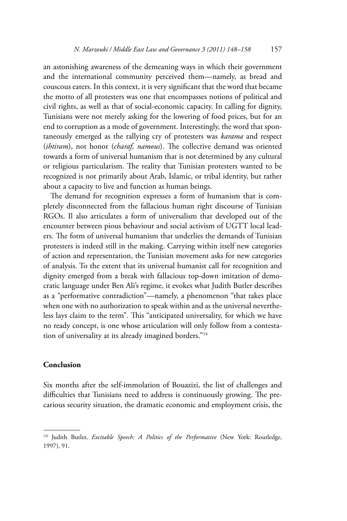an astonishing awareness of the demeaning ways in which their government and the international community perceived them—namely, as bread and couscous eaters. In this context, it is very significant that the word that became the motto of all protesters was one that encompasses notions of political and civil rights, as well as that of social-economic capacity. In calling for dignity, Tunisians were not merely asking for the lowering of food prices, but for an end to corruption as a mode of government. Interestingly, the word that spontaneously emerged as the rallying cry of protesters was *karama* and respect (*ihtiram*), not honor (*charaf, namous*). The collective demand was oriented towards a form of universal humanism that is not determined by any cultural or religious particularism. The reality that Tunisian protesters wanted to be recognized is not primarily about Arab, Islamic, or tribal identity, but rather about a capacity to live and function as human beings.

The demand for recognition expresses a form of humanism that is completely disconnected from the fallacious human right discourse of Tunisian RGOs. Il also articulates a form of universalism that developed out of the encounter between pious behaviour and social activism of UGTT local leaders. The form of universal humanism that underlies the demands of Tunisian protesters is indeed still in the making. Carrying within itself new categories of action and representation, the Tunisian movement asks for new categories of analysis. To the extent that its universal humanist call for recognition and dignity emerged from a break with fallacious top-down imitation of democratic language under Ben Ali's regime, it evokes what Judith Butler describes as a "performative contradiction"—namely, a phenomenon "that takes place when one with no authorization to speak within and as the universal nevertheless lays claim to the term". This "anticipated universality, for which we have no ready concept, is one whose articulation will only follow from a contestation of universality at its already imagined borders." 14

#### **Conclusion**

 Six months after the self-immolation of Bouazizi, the list of challenges and difficulties that Tunisians need to address is continuously growing. The precarious security situation, the dramatic economic and employment crisis, the

<sup>&</sup>lt;sup>14)</sup> Judith Butler, *Excitable Speech: A Politics of the Performative* (New York: Routledge, 1997), 91.